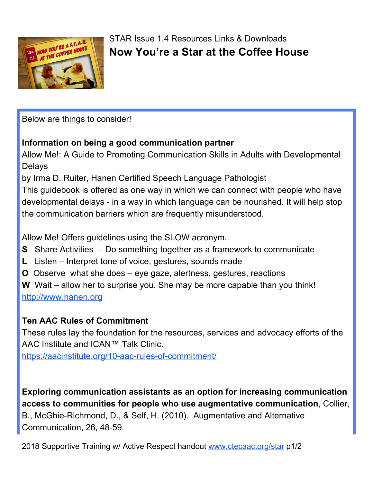

## STAR Issue 1.4 Resources Links & Downloads **Now You're a Star at the Coffee House**

Below are things to consider!

## **Information on being a good communication partner**

Allow Me!: A Guide to Promoting Communication Skills in Adults with Developmental Delays

by Irma D. Ruiter, Hanen Certified Speech Language Pathologist

This guidebook is offered as one way in which we can connect with people who have developmental delays - in a way in which language can be nourished. It will help stop the communication barriers which are frequently misunderstood.

Allow Me! Offers guidelines using the SLOW acronym.

- **S** Share Activities Do something together as a framework to communicate
- **L** Listen Interpret tone of voice, gestures, sounds made
- **O** Observe what she does eye gaze, alertness, gestures, reactions

**W** Wait – allow her to surprise you. She may be more capable than you think! [http://www.hanen.org](http://www.hanen.org/)

## **Ten AAC Rules of Commitment**

These rules lay the foundation for the resources, services and advocacy efforts of the AAC Institute and ICAN™ Talk Clinic.

<https://aacinstitute.org/10-aac-rules-of-commitment/>

**Exploring communication assistants as an option for increasing communication access to communities for people who use augmentative communication**, Collier, B., McGhie-Richmond, D., & Self, H. (2010). Augmentative and Alternative Communication, 26, 48-59.

2018 Supportive Training w/ Active Respect handout [www.ctecaac.org/star](http://www.ctecaac.org/star) p1/2